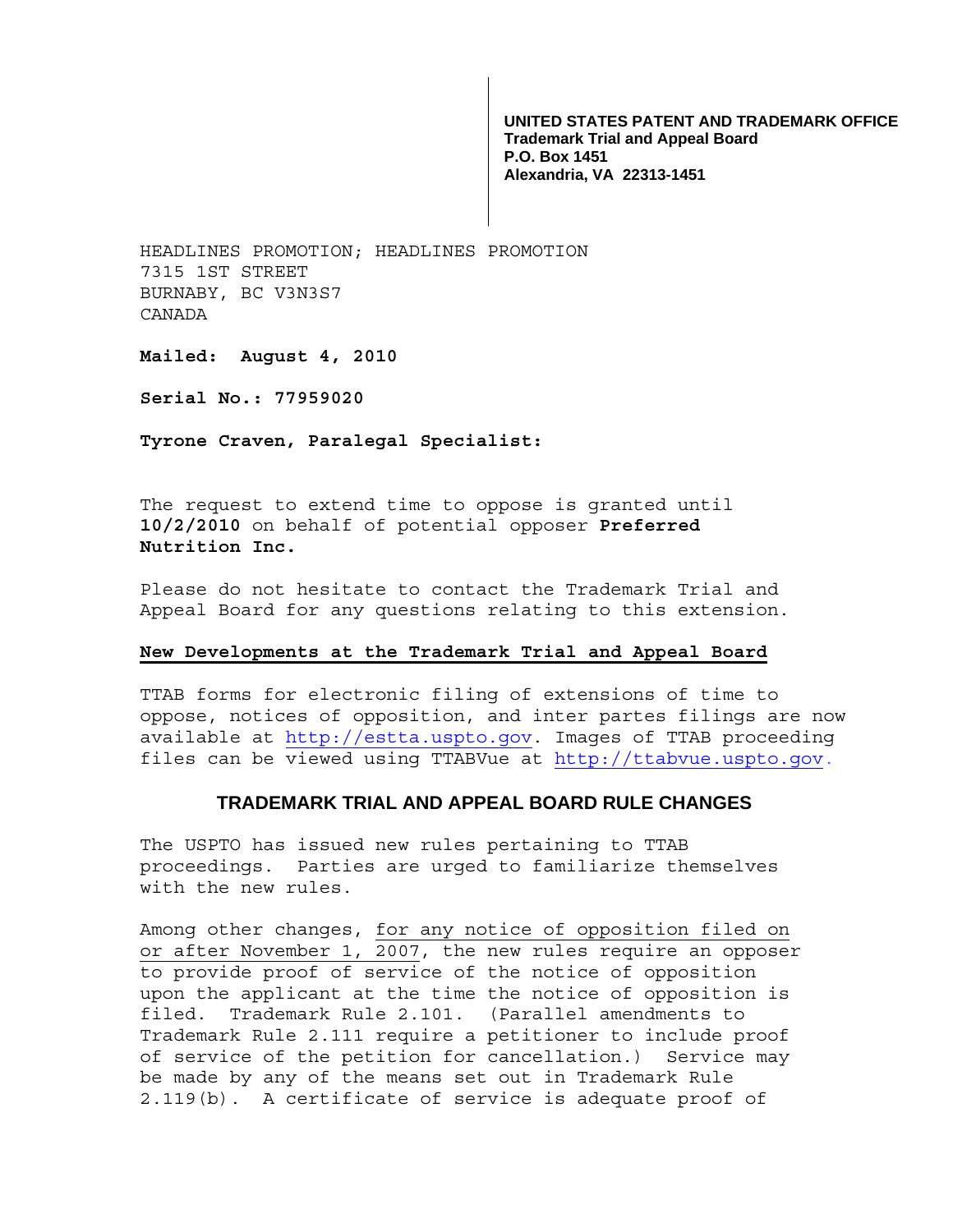**UNITED STATES PATENT AND TRADEMARK OFFICE Trademark Trial and Appeal Board P.O. Box 1451 Alexandria, VA 22313-1451**

HEADLINES PROMOTION; HEADLINES PROMOTION 7315 1ST STREET BURNABY, BC V3N3S7 CANADA

**Mailed: August 4, 2010** 

**Serial No.: 77959020** 

**Tyrone Craven, Paralegal Specialist:** 

The request to extend time to oppose is granted until **10/2/2010** on behalf of potential opposer **Preferred Nutrition Inc.**

Please do not hesitate to contact the Trademark Trial and Appeal Board for any questions relating to this extension.

## **New Developments at the Trademark Trial and Appeal Board**

TTAB forms for electronic filing of extensions of time to oppose, notices of opposition, and inter partes filings are now available at http://estta.uspto.gov. Images of TTAB proceeding files can be viewed using TTABVue at http://ttabvue.uspto.gov.

## **TRADEMARK TRIAL AND APPEAL BOARD RULE CHANGES**

The USPTO has issued new rules pertaining to TTAB proceedings. Parties are urged to familiarize themselves with the new rules.

Among other changes, for any notice of opposition filed on or after November 1, 2007, the new rules require an opposer to provide proof of service of the notice of opposition upon the applicant at the time the notice of opposition is filed. Trademark Rule 2.101. (Parallel amendments to Trademark Rule 2.111 require a petitioner to include proof of service of the petition for cancellation.) Service may be made by any of the means set out in Trademark Rule 2.119(b). A certificate of service is adequate proof of